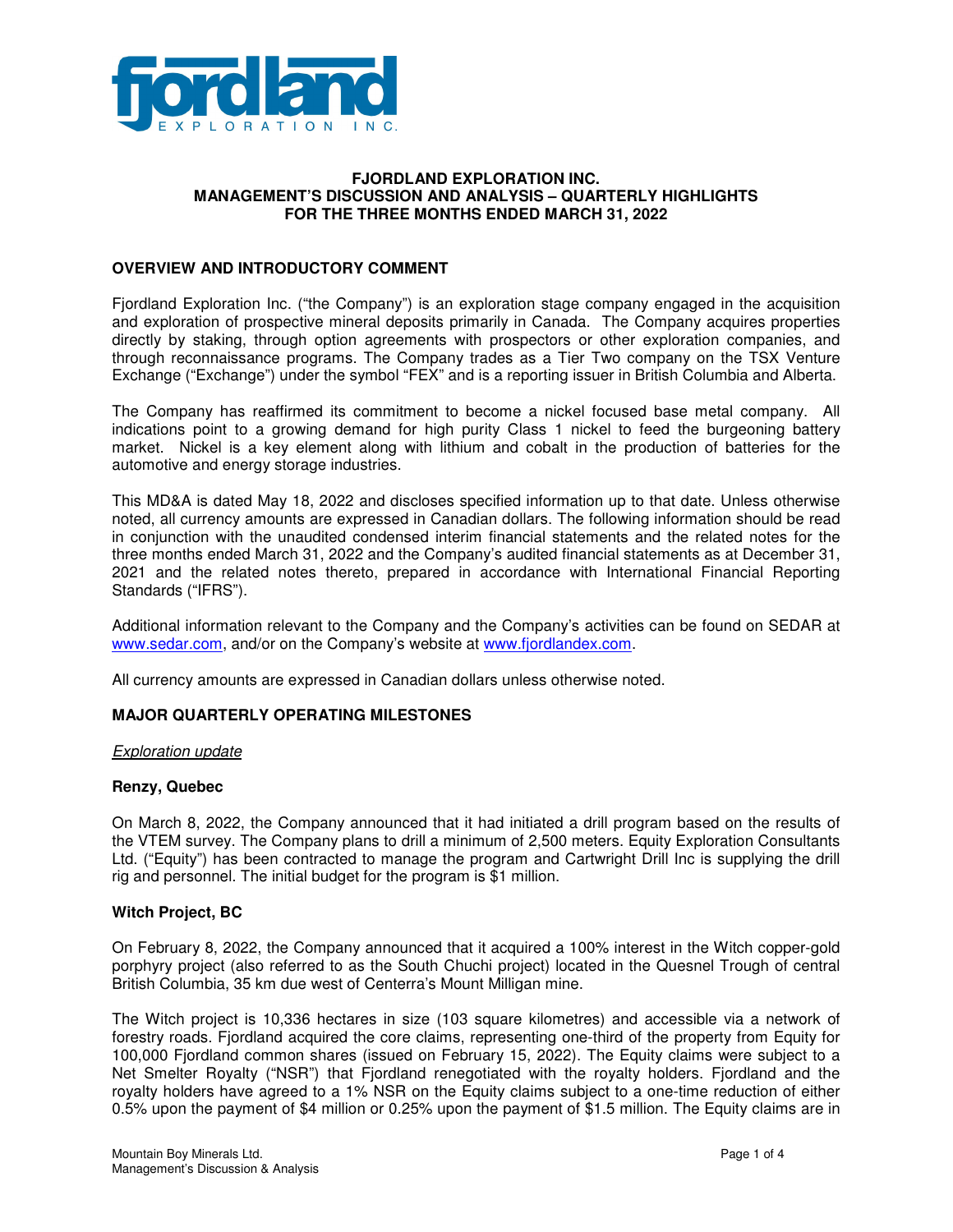

#### **FJORDLAND EXPLORATION INC. MANAGEMENT'S DISCUSSION AND ANALYSIS – QUARTERLY HIGHLIGHTS FOR THE THREE MONTHS ENDED MARCH 31, 2022**

### **OVERVIEW AND INTRODUCTORY COMMENT**

Fjordland Exploration Inc. ("the Company") is an exploration stage company engaged in the acquisition and exploration of prospective mineral deposits primarily in Canada. The Company acquires properties directly by staking, through option agreements with prospectors or other exploration companies, and through reconnaissance programs. The Company trades as a Tier Two company on the TSX Venture Exchange ("Exchange") under the symbol "FEX" and is a reporting issuer in British Columbia and Alberta.

The Company has reaffirmed its commitment to become a nickel focused base metal company. All indications point to a growing demand for high purity Class 1 nickel to feed the burgeoning battery market. Nickel is a key element along with lithium and cobalt in the production of batteries for the automotive and energy storage industries.

This MD&A is dated May 18, 2022 and discloses specified information up to that date. Unless otherwise noted, all currency amounts are expressed in Canadian dollars. The following information should be read in conjunction with the unaudited condensed interim financial statements and the related notes for the three months ended March 31, 2022 and the Company's audited financial statements as at December 31, 2021 and the related notes thereto, prepared in accordance with International Financial Reporting Standards ("IFRS").

Additional information relevant to the Company and the Company's activities can be found on SEDAR at www.sedar.com, and/or on the Company's website at www.fjordlandex.com.

All currency amounts are expressed in Canadian dollars unless otherwise noted.

### **MAJOR QUARTERLY OPERATING MILESTONES**

#### Exploration update

### **Renzy, Quebec**

On March 8, 2022, the Company announced that it had initiated a drill program based on the results of the VTEM survey. The Company plans to drill a minimum of 2,500 meters. Equity Exploration Consultants Ltd. ("Equity") has been contracted to manage the program and Cartwright Drill Inc is supplying the drill rig and personnel. The initial budget for the program is \$1 million.

### **Witch Project, BC**

On February 8, 2022, the Company announced that it acquired a 100% interest in the Witch copper-gold porphyry project (also referred to as the South Chuchi project) located in the Quesnel Trough of central British Columbia, 35 km due west of Centerra's Mount Milligan mine.

The Witch project is 10,336 hectares in size (103 square kilometres) and accessible via a network of forestry roads. Fjordland acquired the core claims, representing one-third of the property from Equity for 100,000 Fjordland common shares (issued on February 15, 2022). The Equity claims were subject to a Net Smelter Royalty ("NSR") that Fjordland renegotiated with the royalty holders. Fjordland and the royalty holders have agreed to a 1% NSR on the Equity claims subject to a one-time reduction of either 0.5% upon the payment of \$4 million or 0.25% upon the payment of \$1.5 million. The Equity claims are in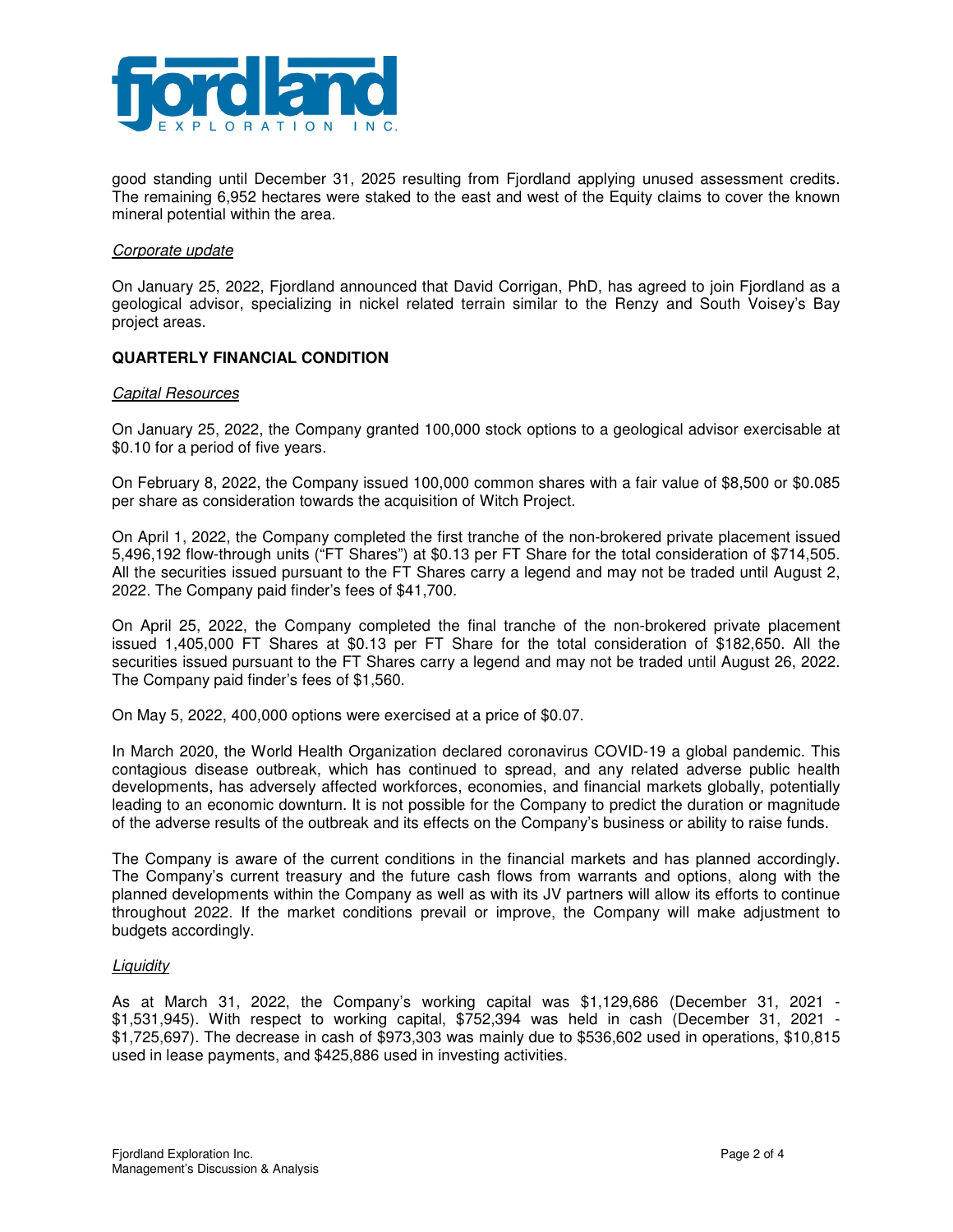

good standing until December 31, 2025 resulting from Fjordland applying unused assessment credits. The remaining 6,952 hectares were staked to the east and west of the Equity claims to cover the known mineral potential within the area.

#### Corporate update

On January 25, 2022, Fjordland announced that David Corrigan, PhD, has agreed to join Fjordland as a geological advisor, specializing in nickel related terrain similar to the Renzy and South Voisey's Bay project areas.

### **QUARTERLY FINANCIAL CONDITION**

#### Capital Resources

On January 25, 2022, the Company granted 100,000 stock options to a geological advisor exercisable at \$0.10 for a period of five years.

On February 8, 2022, the Company issued 100,000 common shares with a fair value of \$8,500 or \$0.085 per share as consideration towards the acquisition of Witch Project.

On April 1, 2022, the Company completed the first tranche of the non-brokered private placement issued 5,496,192 flow-through units ("FT Shares") at \$0.13 per FT Share for the total consideration of \$714,505. All the securities issued pursuant to the FT Shares carry a legend and may not be traded until August 2, 2022. The Company paid finder's fees of \$41,700.

On April 25, 2022, the Company completed the final tranche of the non-brokered private placement issued 1,405,000 FT Shares at \$0.13 per FT Share for the total consideration of \$182,650. All the securities issued pursuant to the FT Shares carry a legend and may not be traded until August 26, 2022. The Company paid finder's fees of \$1,560.

On May 5, 2022, 400,000 options were exercised at a price of \$0.07.

In March 2020, the World Health Organization declared coronavirus COVID-19 a global pandemic. This contagious disease outbreak, which has continued to spread, and any related adverse public health developments, has adversely affected workforces, economies, and financial markets globally, potentially leading to an economic downturn. It is not possible for the Company to predict the duration or magnitude of the adverse results of the outbreak and its effects on the Company's business or ability to raise funds.

The Company is aware of the current conditions in the financial markets and has planned accordingly. The Company's current treasury and the future cash flows from warrants and options, along with the planned developments within the Company as well as with its JV partners will allow its efforts to continue throughout 2022. If the market conditions prevail or improve, the Company will make adjustment to budgets accordingly.

### **Liquidity**

As at March 31, 2022, the Company's working capital was \$1,129,686 (December 31, 2021 - \$1,531,945). With respect to working capital, \$752,394 was held in cash (December 31, 2021 - \$1,725,697). The decrease in cash of \$973,303 was mainly due to \$536,602 used in operations, \$10,815 used in lease payments, and \$425,886 used in investing activities.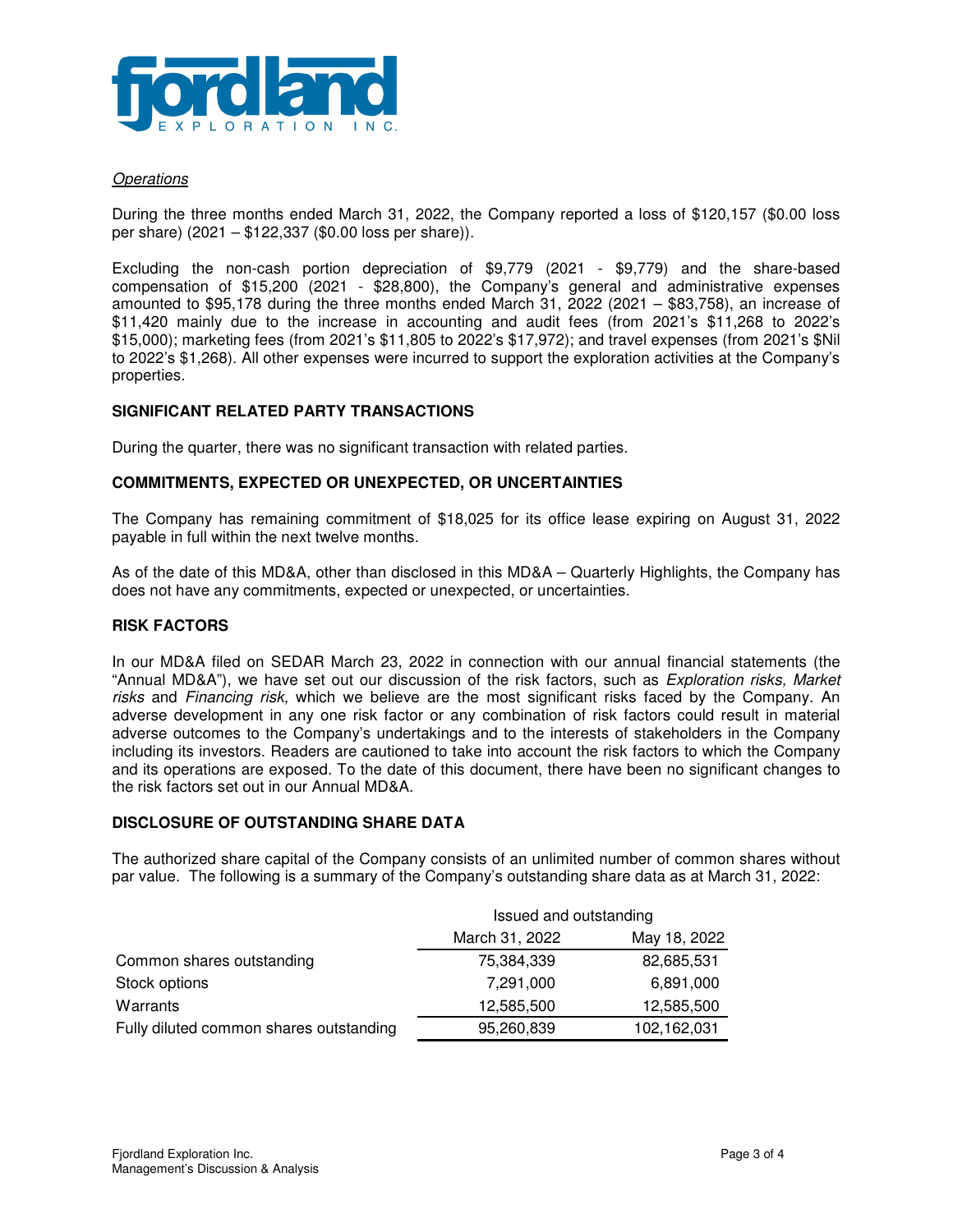

# **Operations**

During the three months ended March 31, 2022, the Company reported a loss of \$120,157 (\$0.00 loss per share) (2021 – \$122,337 (\$0.00 loss per share)).

Excluding the non-cash portion depreciation of \$9,779 (2021 - \$9,779) and the share-based compensation of \$15,200 (2021 - \$28,800), the Company's general and administrative expenses amounted to \$95,178 during the three months ended March 31, 2022 (2021 – \$83,758), an increase of \$11,420 mainly due to the increase in accounting and audit fees (from 2021's \$11,268 to 2022's \$15,000); marketing fees (from 2021's \$11,805 to 2022's \$17,972); and travel expenses (from 2021's \$Nil to 2022's \$1,268). All other expenses were incurred to support the exploration activities at the Company's properties.

### **SIGNIFICANT RELATED PARTY TRANSACTIONS**

During the quarter, there was no significant transaction with related parties.

### **COMMITMENTS, EXPECTED OR UNEXPECTED, OR UNCERTAINTIES**

The Company has remaining commitment of \$18,025 for its office lease expiring on August 31, 2022 payable in full within the next twelve months.

As of the date of this MD&A, other than disclosed in this MD&A – Quarterly Highlights, the Company has does not have any commitments, expected or unexpected, or uncertainties.

### **RISK FACTORS**

In our MD&A filed on SEDAR March 23, 2022 in connection with our annual financial statements (the "Annual MD&A"), we have set out our discussion of the risk factors, such as *Exploration risks, Market* risks and Financing risk, which we believe are the most significant risks faced by the Company. An adverse development in any one risk factor or any combination of risk factors could result in material adverse outcomes to the Company's undertakings and to the interests of stakeholders in the Company including its investors. Readers are cautioned to take into account the risk factors to which the Company and its operations are exposed. To the date of this document, there have been no significant changes to the risk factors set out in our Annual MD&A.

### **DISCLOSURE OF OUTSTANDING SHARE DATA**

The authorized share capital of the Company consists of an unlimited number of common shares without par value. The following is a summary of the Company's outstanding share data as at March 31, 2022:

|                                         | Issued and outstanding |              |
|-----------------------------------------|------------------------|--------------|
|                                         | March 31, 2022         | May 18, 2022 |
| Common shares outstanding               | 75,384,339             | 82,685,531   |
| Stock options                           | 7,291,000              | 6,891,000    |
| Warrants                                | 12,585,500             | 12,585,500   |
| Fully diluted common shares outstanding | 95,260,839             | 102,162,031  |